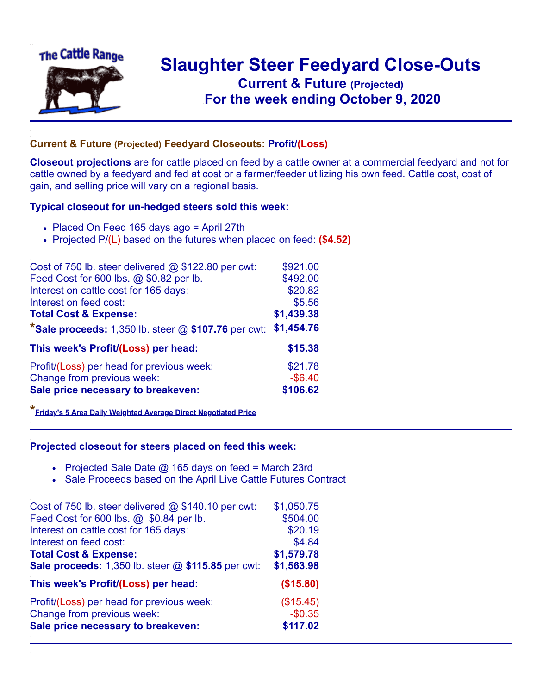

## **Slaughter Steer Feedyard Close-Outs Current & Future (Projected)** .**For the week ending October 9, 2020**

## **Current & Future (Projected) Feedyard Closeouts: Profit/(Loss)**

**Closeout projections** are for cattle placed on feed by a cattle owner at a commercial feedyard and not for cattle owned by a feedyard and fed at cost or a farmer/feeder utilizing his own feed. Cattle cost, cost of gain, and selling price will vary on a regional basis.

## **Typical closeout for un-hedged steers sold this week:**

- Placed On Feed 165 days ago = April 27th
- Projected P/(L) based on the futures when placed on feed: **(\$4.52)**

| Cost of 750 lb. steer delivered @ \$122.80 per cwt:   | \$921.00   |
|-------------------------------------------------------|------------|
| Feed Cost for 600 lbs. @ \$0.82 per lb.               | \$492.00   |
| Interest on cattle cost for 165 days:                 | \$20.82    |
| Interest on feed cost:                                | \$5.56     |
| <b>Total Cost &amp; Expense:</b>                      | \$1,439.38 |
| *Sale proceeds: 1,350 lb. steer $@$ \$107.76 per cwt: | \$1,454.76 |
| This week's Profit/(Loss) per head:                   | \$15.38    |
| Profit/(Loss) per head for previous week:             | \$21.78    |
| Change from previous week:                            | $-$ \$6.40 |
| Sale price necessary to breakeven:                    | \$106.62   |

**\*[Friday's 5 Area Daily Weighted Average Direct Negotiated Price](https://www.ams.usda.gov/mnreports/ams_2466.pdf)**

## **Projected closeout for steers placed on feed this week:**

- Projected Sale Date  $@$  165 days on feed = March 23rd
- Sale Proceeds based on the April Live Cattle Futures Contract

| Cost of 750 lb. steer delivered @ \$140.10 per cwt: | \$1,050.75 |
|-----------------------------------------------------|------------|
| Feed Cost for 600 lbs. @ \$0.84 per lb.             | \$504.00   |
| Interest on cattle cost for 165 days:               | \$20.19    |
| Interest on feed cost:                              | \$4.84     |
| <b>Total Cost &amp; Expense:</b>                    | \$1,579.78 |
| Sale proceeds: 1,350 lb. steer @ \$115.85 per cwt:  | \$1,563.98 |
| This week's Profit/(Loss) per head:                 | (\$15.80)  |
| Profit/(Loss) per head for previous week:           | (\$15.45)  |
| Change from previous week:                          | $-$0.35$   |
| Sale price necessary to breakeven:                  | \$117.02   |
|                                                     |            |